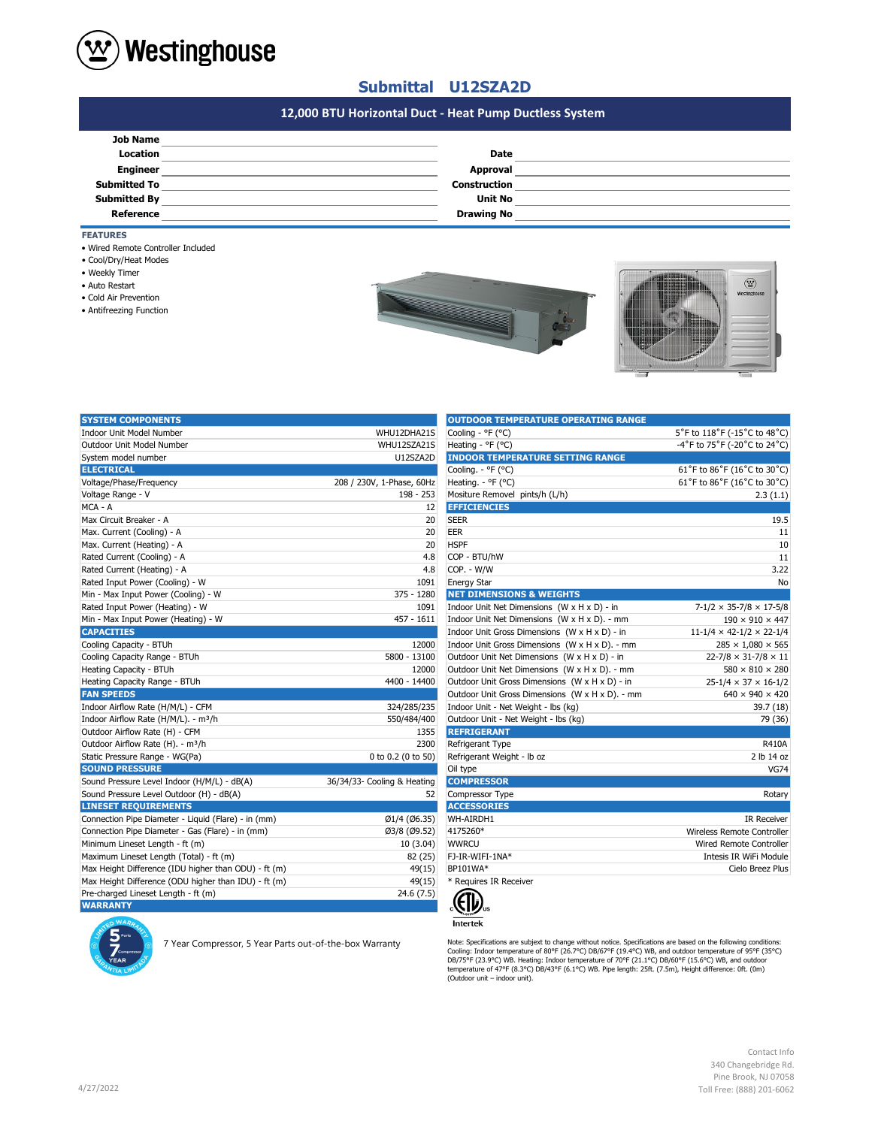

## **Submittal U12SZA2D**

# **#N/A 12,000 BTU Horizontal Duct - Heat Pump Ductless System**

| <b>Job Name</b>     |                     |  |
|---------------------|---------------------|--|
| Location            | <b>Date</b>         |  |
| <b>Engineer</b>     | Approval            |  |
| <b>Submitted To</b> | <b>Construction</b> |  |
| <b>Submitted By</b> | <b>Unit No</b>      |  |
| Reference           | <b>Drawing No</b>   |  |

**FEATURES**

- Wired Remote Controller Included
- Cool/Dry/Heat Modes
- Weekly Timer
- Auto Restart
- Cold Air Prevention
- Antifreezing Function





| <b>SYSTEM COMPONENTS</b>                             |                             | <b>OUTDOOR TEMPERATURE OPERATING RANGE</b>      |                                            |
|------------------------------------------------------|-----------------------------|-------------------------------------------------|--------------------------------------------|
| <b>Indoor Unit Model Number</b>                      | WHU12DHA21S                 | Cooling - °F (°C)                               | 5°F to 118°F (-15°C to 48°C)               |
| Outdoor Unit Model Number                            | WHU12SZA21S                 | Heating - °F (°C)                               | -4°F to 75°F (-20°C to 24°C)               |
| System model number                                  | U12SZA2D                    | <b>INDOOR TEMPERATURE SETTING RANGE</b>         |                                            |
| <b>ELECTRICAL</b>                                    |                             | Cooling. - °F (°C)                              | 61°F to 86°F (16°C to 30°C)                |
| Voltage/Phase/Frequency                              | 208 / 230V, 1-Phase, 60Hz   | Heating. - °F (°C)                              | 61°F to 86°F (16°C to 30°C)                |
| Voltage Range - V                                    | 198 - 253                   | Mositure Removel pints/h (L/h)                  | 2.3(1.1)                                   |
| MCA - A                                              | 12                          | <b>EFFICIENCIES</b>                             |                                            |
| Max Circuit Breaker - A                              | 20                          | <b>SEER</b>                                     | 19.5                                       |
| Max. Current (Cooling) - A                           | 20                          | <b>EER</b>                                      | 11                                         |
| Max. Current (Heating) - A                           | 20                          | <b>HSPF</b>                                     | 10                                         |
| Rated Current (Cooling) - A                          | 4.8                         | COP - BTU/hW                                    | 11                                         |
| Rated Current (Heating) - A                          | 4.8                         | COP. - W/W                                      | 3.22                                       |
| Rated Input Power (Cooling) - W                      | 1091                        | <b>Energy Star</b>                              | No                                         |
| Min - Max Input Power (Cooling) - W                  | 375 - 1280                  | <b>NET DIMENSIONS &amp; WEIGHTS</b>             |                                            |
| Rated Input Power (Heating) - W                      | 1091                        | Indoor Unit Net Dimensions (W x H x D) - in     | $7-1/2 \times 35-7/8 \times 17-5/8$        |
| Min - Max Input Power (Heating) - W                  | $457 - 1611$                | Indoor Unit Net Dimensions (W x H x D). - mm    | $190 \times 910 \times 447$                |
| <b>CAPACITIES</b>                                    |                             | Indoor Unit Gross Dimensions (W x H x D) - in   | $11 - 1/4 \times 42 - 1/2 \times 22 - 1/4$ |
| Cooling Capacity - BTUh                              | 12000                       | Indoor Unit Gross Dimensions (W x H x D). - mm  | $285 \times 1,080 \times 565$              |
| Cooling Capacity Range - BTUh                        | 5800 - 13100                | Outdoor Unit Net Dimensions (W x H x D) - in    | $22 - 7/8 \times 31 - 7/8 \times 11$       |
| Heating Capacity - BTUh                              | 12000                       | Outdoor Unit Net Dimensions (W x H x D). - mm   | $580 \times 810 \times 280$                |
| Heating Capacity Range - BTUh                        | 4400 - 14400                | Outdoor Unit Gross Dimensions (W x H x D) - in  | $25 - 1/4 \times 37 \times 16 - 1/2$       |
| <b>FAN SPEEDS</b>                                    |                             | Outdoor Unit Gross Dimensions (W x H x D). - mm | $640 \times 940 \times 420$                |
| Indoor Airflow Rate (H/M/L) - CFM                    | 324/285/235                 | Indoor Unit - Net Weight - lbs (kg)             | 39.7 (18)                                  |
| Indoor Airflow Rate (H/M/L). - m <sup>3</sup> /h     | 550/484/400                 | Outdoor Unit - Net Weight - lbs (kg)            | 79 (36)                                    |
| Outdoor Airflow Rate (H) - CFM                       | 1355                        | <b>REFRIGERANT</b>                              |                                            |
| Outdoor Airflow Rate (H). - m <sup>3</sup> /h        | 2300                        | Refrigerant Type                                | <b>R410A</b>                               |
| Static Pressure Range - WG(Pa)                       | 0 to 0.2 (0 to 50)          | Refrigerant Weight - Ib oz                      | 2 lb 14 oz                                 |
| <b>SOUND PRESSURE</b>                                |                             | Oil type                                        | <b>VG74</b>                                |
| Sound Pressure Level Indoor (H/M/L) - dB(A)          | 36/34/33- Cooling & Heating | <b>COMPRESSOR</b>                               |                                            |
| Sound Pressure Level Outdoor (H) - dB(A)             | 52                          | Compressor Type                                 | Rotary                                     |
| <b>LINESET REQUIREMENTS</b>                          |                             | <b>ACCESSORIES</b>                              |                                            |
| Connection Pipe Diameter - Liquid (Flare) - in (mm)  | Ø1/4 (Ø6.35)                | WH-AIRDH1                                       | <b>IR Receiver</b>                         |
| Connection Pipe Diameter - Gas (Flare) - in (mm)     | Ø3/8 (Ø9.52)                | 4175260*                                        | Wireless Remote Controller                 |
| Minimum Lineset Length - ft (m)                      | 10 (3.04)                   | <b>WWRCU</b>                                    | Wired Remote Controller                    |
| Maximum Lineset Length (Total) - ft (m)              | 82 (25)                     | FJ-IR-WIFI-1NA*                                 | Intesis IR WiFi Module                     |
| Max Height Difference (IDU higher than ODU) - ft (m) | 49(15)                      | BP101WA*                                        | Cielo Breez Plus                           |
| Max Height Difference (ODU higher than IDU) - ft (m) | 49(15)                      | * Requires IR Receiver                          |                                            |
| Pre-charged Lineset Length - ft (m)                  | 24.6(7.5)                   |                                                 |                                            |
| <b>WARRANTY</b>                                      |                             | $\mathcal{E}(\mathbf{D})$                       |                                            |

| UUTDUUR TEMPERATURE UPERATING RANGE             |                                      |
|-------------------------------------------------|--------------------------------------|
| Cooling - °F (°C)                               | 5°F to 118°F (-15°C to 48°C)         |
| Heating - °F (°C)                               | -4°F to 75°F (-20°C to 24°C)         |
| <b>INDOOR TEMPERATURE SETTING RANGE</b>         |                                      |
| Cooling. - °F (°C)                              | 61°F to 86°F (16°C to 30°C)          |
| Heating. - °F (°C)                              | 61°F to 86°F (16°C to 30°C)          |
| Mositure Removel pints/h (L/h)                  | 2.3(1.1)                             |
| <b>EFFICIENCIES</b>                             |                                      |
| SEER                                            | 19.5                                 |
| EER                                             | 11                                   |
| <b>HSPF</b>                                     | 10                                   |
| COP - BTU/hW                                    | 11                                   |
| COP. - W/W                                      | 3.22                                 |
| Energy Star                                     | No                                   |
| <b>NET DIMENSIONS &amp; WEIGHTS</b>             |                                      |
| Indoor Unit Net Dimensions (W x H x D) - in     | $7-1/2 \times 35-7/8 \times 17-5/8$  |
| Indoor Unit Net Dimensions (W x H x D). - mm    | $190 \times 910 \times 447$          |
| Indoor Unit Gross Dimensions (W x H x D) - in   | $11-1/4 \times 42-1/2 \times 22-1/4$ |
| Indoor Unit Gross Dimensions (W x H x D). - mm  | $285 \times 1,080 \times 565$        |
| Outdoor Unit Net Dimensions (W x H x D) - in    | $22 - 7/8 \times 31 - 7/8 \times 11$ |
| Outdoor Unit Net Dimensions (W x H x D). - mm   | $580 \times 810 \times 280$          |
| Outdoor Unit Gross Dimensions (W x H x D) - in  | $25 - 1/4 \times 37 \times 16 - 1/2$ |
| Outdoor Unit Gross Dimensions (W x H x D). - mm | $640 \times 940 \times 420$          |
| Indoor Unit - Net Weight - Ibs (kg)             | 39.7 (18)                            |
| Outdoor Unit - Net Weight - Ibs (kg)            | 79 (36)                              |
| <b>REFRIGERANT</b>                              |                                      |
| Refrigerant Type                                | R410A                                |
| Refrigerant Weight - Ib oz                      | 2 lb 14 oz                           |
| Oil type                                        | <b>VG74</b>                          |
| <b>COMPRESSOR</b>                               |                                      |
| Compressor Type                                 | Rotary                               |
| <b>ACCESSORIES</b>                              |                                      |
| WH-AIRDH1                                       | <b>IR Receiver</b>                   |
| 4175260*                                        | Wireless Remote Controller           |
| WWRCU                                           | Wired Remote Controller              |
| FJ-IR-WIFI-1NA*                                 | Intesis IR WiFi Module               |
| BP101WA*                                        | Cielo Breez Plus                     |
| * Requires IR Receiver                          |                                      |



Nete: Specifications are subject to change without notice. Specifications are subject to change without notice. Specifications are specifications are specifications:<br>Cooling: Indoor temperature of 90°F (23-9°C) WB. Heatin

Contact Info 340 Changebridge Rd. Pine Brook, NJ 07058 Toll Free: (888) 201-6062